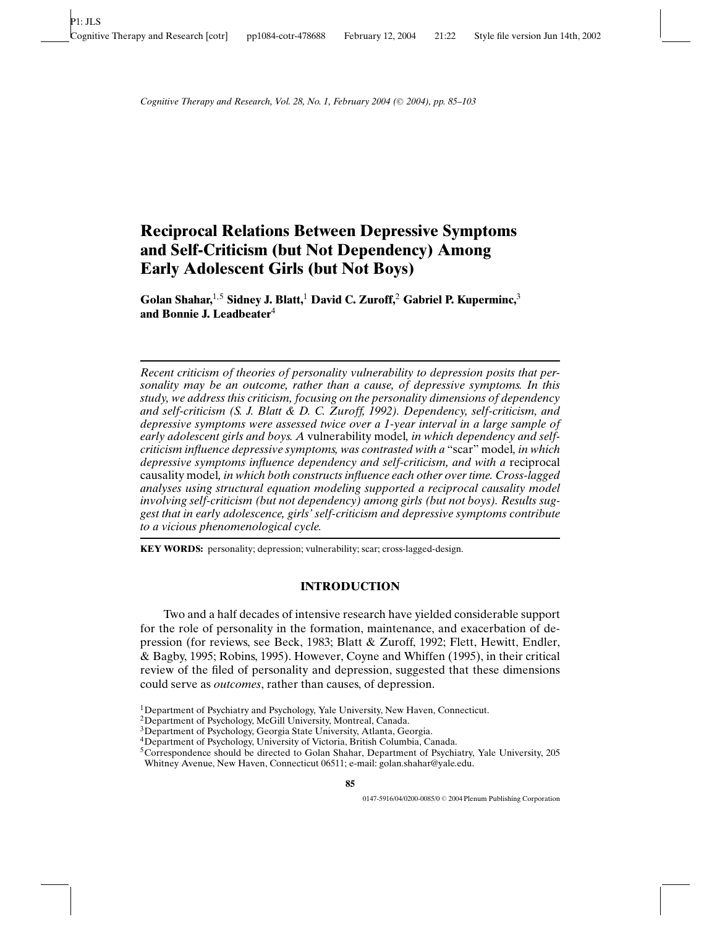# **Reciprocal Relations Between Depressive Symptoms and Self-Criticism (but Not Dependency) Among Early Adolescent Girls (but Not Boys)**

**Golan Shahar,**1,5 **Sidney J. Blatt,**<sup>1</sup> **David C. Zuroff,**<sup>2</sup> **Gabriel P. Kuperminc,**<sup>3</sup> **and Bonnie J. Leadbeater**<sup>4</sup>

*Recent criticism of theories of personality vulnerability to depression posits that personality may be an outcome, rather than a cause, of depressive symptoms. In this study, we address this criticism, focusing on the personality dimensions of dependency and self-criticism (S. J. Blatt & D. C. Zuroff, 1992). Dependency, self-criticism, and depressive symptoms were assessed twice over a 1-year interval in a large sample of early adolescent girls and boys. A* vulnerability model*, in which dependency and selfcriticism influence depressive symptoms, was contrasted with a* "scar" model*, in which depressive symptoms influence dependency and self-criticism, and with a* reciprocal causality model*, in which both constructs influence each other over time. Cross-lagged analyses using structural equation modeling supported a reciprocal causality model involving self-criticism (but not dependency) among girls (but not boys). Results suggest that in early adolescence, girls' self-criticism and depressive symptoms contribute to a vicious phenomenological cycle.*

**KEY WORDS:** personality; depression; vulnerability; scar; cross-lagged-design.

# **INTRODUCTION**

Two and a half decades of intensive research have yielded considerable support for the role of personality in the formation, maintenance, and exacerbation of depression (for reviews, see Beck, 1983; Blatt & Zuroff, 1992; Flett, Hewitt, Endler, & Bagby, 1995; Robins, 1995). However, Coyne and Whiffen (1995), in their critical review of the filed of personality and depression, suggested that these dimensions could serve as *outcomes*, rather than causes, of depression.

<sup>&</sup>lt;sup>1</sup>Department of Psychiatry and Psychology, Yale University, New Haven, Connecticut.

<sup>2</sup>Department of Psychology, McGill University, Montreal, Canada.

<sup>3</sup>Department of Psychology, Georgia State University, Atlanta, Georgia.

<sup>4</sup>Department of Psychology, University of Victoria, British Columbia, Canada.

<sup>5</sup>Correspondence should be directed to Golan Shahar, Department of Psychiatry, Yale University, 205 Whitney Avenue, New Haven, Connecticut 06511; e-mail: golan.shahar@yale.edu.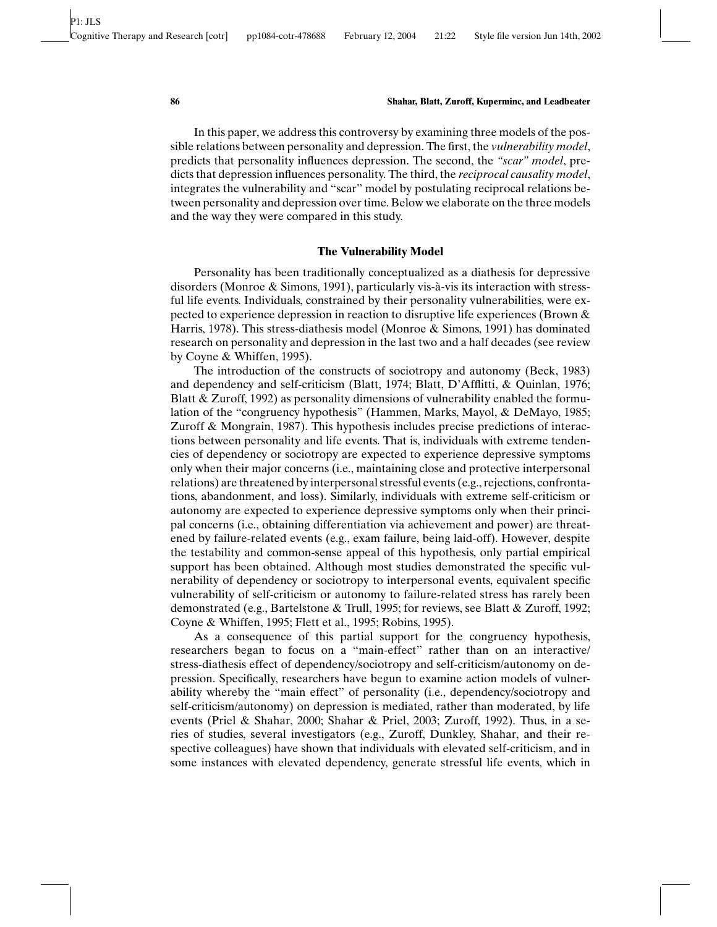In this paper, we address this controversy by examining three models of the possible relations between personality and depression. The first, the *vulnerability model*, predicts that personality influences depression. The second, the *"scar" model*, predicts that depression influences personality. The third, the *reciprocal causality model*, integrates the vulnerability and "scar" model by postulating reciprocal relations between personality and depression over time. Below we elaborate on the three models and the way they were compared in this study.

# **The Vulnerability Model**

Personality has been traditionally conceptualized as a diathesis for depressive disorders (Monroe  $\&$  Simons, 1991), particularly vis-à-vis its interaction with stressful life events. Individuals, constrained by their personality vulnerabilities, were expected to experience depression in reaction to disruptive life experiences (Brown & Harris, 1978). This stress-diathesis model (Monroe & Simons, 1991) has dominated research on personality and depression in the last two and a half decades (see review by Coyne & Whiffen, 1995).

The introduction of the constructs of sociotropy and autonomy (Beck, 1983) and dependency and self-criticism (Blatt, 1974; Blatt, D'Afflitti, & Quinlan, 1976; Blatt & Zuroff, 1992) as personality dimensions of vulnerability enabled the formulation of the "congruency hypothesis" (Hammen, Marks, Mayol, & DeMayo, 1985; Zuroff & Mongrain, 1987). This hypothesis includes precise predictions of interactions between personality and life events. That is, individuals with extreme tendencies of dependency or sociotropy are expected to experience depressive symptoms only when their major concerns (i.e., maintaining close and protective interpersonal relations) are threatened by interpersonal stressful events (e.g., rejections, confrontations, abandonment, and loss). Similarly, individuals with extreme self-criticism or autonomy are expected to experience depressive symptoms only when their principal concerns (i.e., obtaining differentiation via achievement and power) are threatened by failure-related events (e.g., exam failure, being laid-off). However, despite the testability and common-sense appeal of this hypothesis, only partial empirical support has been obtained. Although most studies demonstrated the specific vulnerability of dependency or sociotropy to interpersonal events, equivalent specific vulnerability of self-criticism or autonomy to failure-related stress has rarely been demonstrated (e.g., Bartelstone & Trull, 1995; for reviews, see Blatt & Zuroff, 1992; Coyne & Whiffen, 1995; Flett et al., 1995; Robins, 1995).

As a consequence of this partial support for the congruency hypothesis, researchers began to focus on a "main-effect" rather than on an interactive/ stress-diathesis effect of dependency/sociotropy and self-criticism/autonomy on depression. Specifically, researchers have begun to examine action models of vulnerability whereby the "main effect" of personality (i.e., dependency/sociotropy and self-criticism/autonomy) on depression is mediated, rather than moderated, by life events (Priel & Shahar, 2000; Shahar & Priel, 2003; Zuroff, 1992). Thus, in a series of studies, several investigators (e.g., Zuroff, Dunkley, Shahar, and their respective colleagues) have shown that individuals with elevated self-criticism, and in some instances with elevated dependency, generate stressful life events, which in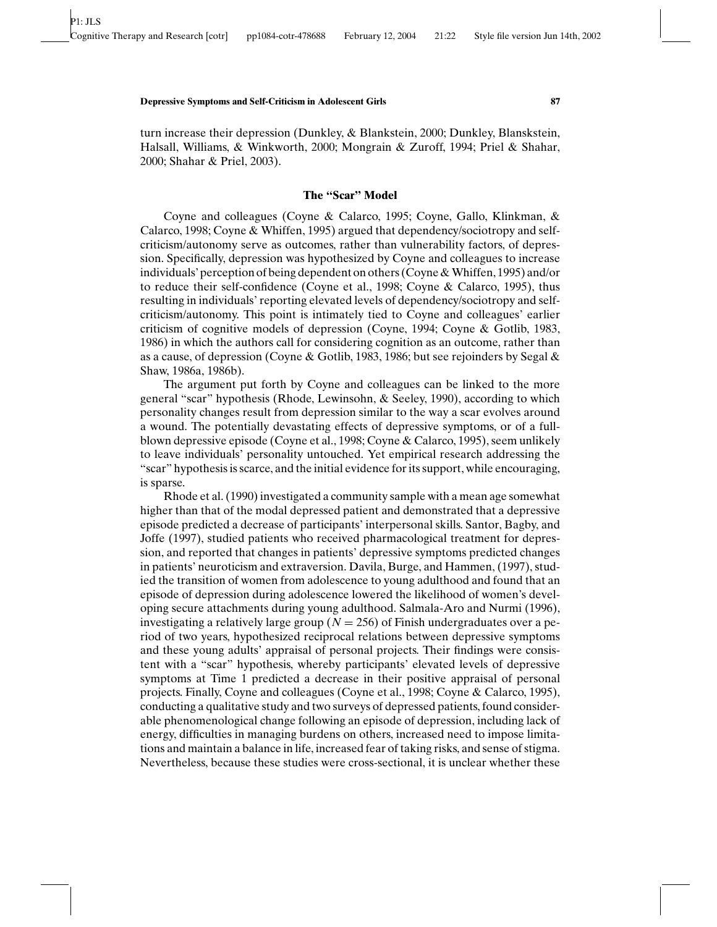turn increase their depression (Dunkley, & Blankstein, 2000; Dunkley, Blanskstein, Halsall, Williams, & Winkworth, 2000; Mongrain & Zuroff, 1994; Priel & Shahar, 2000; Shahar & Priel, 2003).

#### **The "Scar" Model**

Coyne and colleagues (Coyne & Calarco, 1995; Coyne, Gallo, Klinkman, & Calarco, 1998; Coyne & Whiffen, 1995) argued that dependency/sociotropy and selfcriticism/autonomy serve as outcomes, rather than vulnerability factors, of depression. Specifically, depression was hypothesized by Coyne and colleagues to increase individuals' perception of being dependent on others (Coyne & Whiffen, 1995) and/or to reduce their self-confidence (Coyne et al., 1998; Coyne & Calarco, 1995), thus resulting in individuals' reporting elevated levels of dependency/sociotropy and selfcriticism/autonomy. This point is intimately tied to Coyne and colleagues' earlier criticism of cognitive models of depression (Coyne, 1994; Coyne & Gotlib, 1983, 1986) in which the authors call for considering cognition as an outcome, rather than as a cause, of depression (Coyne & Gotlib, 1983, 1986; but see rejoinders by Segal & Shaw, 1986a, 1986b).

The argument put forth by Coyne and colleagues can be linked to the more general "scar" hypothesis (Rhode, Lewinsohn, & Seeley, 1990), according to which personality changes result from depression similar to the way a scar evolves around a wound. The potentially devastating effects of depressive symptoms, or of a fullblown depressive episode (Coyne et al., 1998; Coyne & Calarco, 1995), seem unlikely to leave individuals' personality untouched. Yet empirical research addressing the "scar" hypothesis is scarce, and the initial evidence for its support, while encouraging, is sparse.

Rhode et al. (1990) investigated a community sample with a mean age somewhat higher than that of the modal depressed patient and demonstrated that a depressive episode predicted a decrease of participants' interpersonal skills. Santor, Bagby, and Joffe (1997), studied patients who received pharmacological treatment for depression, and reported that changes in patients' depressive symptoms predicted changes in patients' neuroticism and extraversion. Davila, Burge, and Hammen, (1997), studied the transition of women from adolescence to young adulthood and found that an episode of depression during adolescence lowered the likelihood of women's developing secure attachments during young adulthood. Salmala-Aro and Nurmi (1996), investigating a relatively large group ( $N = 256$ ) of Finish undergraduates over a period of two years, hypothesized reciprocal relations between depressive symptoms and these young adults' appraisal of personal projects. Their findings were consistent with a "scar" hypothesis, whereby participants' elevated levels of depressive symptoms at Time 1 predicted a decrease in their positive appraisal of personal projects. Finally, Coyne and colleagues (Coyne et al., 1998; Coyne & Calarco, 1995), conducting a qualitative study and two surveys of depressed patients, found considerable phenomenological change following an episode of depression, including lack of energy, difficulties in managing burdens on others, increased need to impose limitations and maintain a balance in life, increased fear of taking risks, and sense of stigma. Nevertheless, because these studies were cross-sectional, it is unclear whether these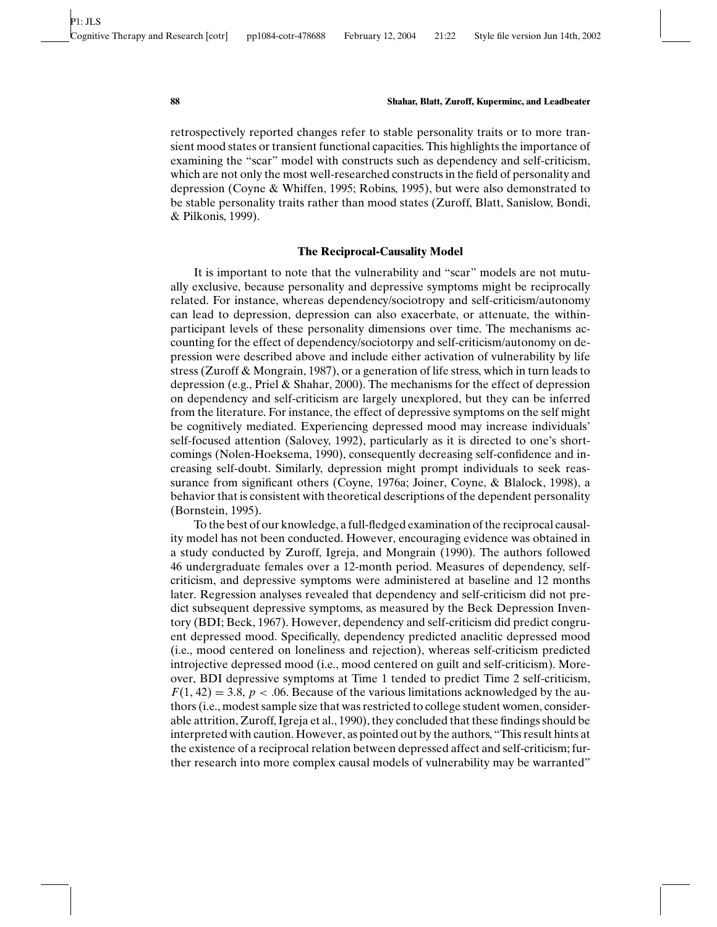retrospectively reported changes refer to stable personality traits or to more transient mood states or transient functional capacities. This highlights the importance of examining the "scar" model with constructs such as dependency and self-criticism, which are not only the most well-researched constructs in the field of personality and depression (Coyne & Whiffen, 1995; Robins, 1995), but were also demonstrated to be stable personality traits rather than mood states (Zuroff, Blatt, Sanislow, Bondi, & Pilkonis, 1999).

# **The Reciprocal-Causality Model**

It is important to note that the vulnerability and "scar" models are not mutually exclusive, because personality and depressive symptoms might be reciprocally related. For instance, whereas dependency/sociotropy and self-criticism/autonomy can lead to depression, depression can also exacerbate, or attenuate, the withinparticipant levels of these personality dimensions over time. The mechanisms accounting for the effect of dependency/sociotorpy and self-criticism/autonomy on depression were described above and include either activation of vulnerability by life stress (Zuroff & Mongrain, 1987), or a generation of life stress, which in turn leads to depression (e.g., Priel & Shahar, 2000). The mechanisms for the effect of depression on dependency and self-criticism are largely unexplored, but they can be inferred from the literature. For instance, the effect of depressive symptoms on the self might be cognitively mediated. Experiencing depressed mood may increase individuals' self-focused attention (Salovey, 1992), particularly as it is directed to one's shortcomings (Nolen-Hoeksema, 1990), consequently decreasing self-confidence and increasing self-doubt. Similarly, depression might prompt individuals to seek reassurance from significant others (Coyne, 1976a; Joiner, Coyne, & Blalock, 1998), a behavior that is consistent with theoretical descriptions of the dependent personality (Bornstein, 1995).

To the best of our knowledge, a full-fledged examination of the reciprocal causality model has not been conducted. However, encouraging evidence was obtained in a study conducted by Zuroff, Igreja, and Mongrain (1990). The authors followed 46 undergraduate females over a 12-month period. Measures of dependency, selfcriticism, and depressive symptoms were administered at baseline and 12 months later. Regression analyses revealed that dependency and self-criticism did not predict subsequent depressive symptoms, as measured by the Beck Depression Inventory (BDI; Beck, 1967). However, dependency and self-criticism did predict congruent depressed mood. Specifically, dependency predicted anaclitic depressed mood (i.e., mood centered on loneliness and rejection), whereas self-criticism predicted introjective depressed mood (i.e., mood centered on guilt and self-criticism). Moreover, BDI depressive symptoms at Time 1 tended to predict Time 2 self-criticism,  $F(1, 42) = 3.8$ ,  $p < .06$ . Because of the various limitations acknowledged by the authors (i.e., modest sample size that was restricted to college student women, considerable attrition, Zuroff, Igreja et al., 1990), they concluded that these findings should be interpreted with caution. However, as pointed out by the authors, "This result hints at the existence of a reciprocal relation between depressed affect and self-criticism; further research into more complex causal models of vulnerability may be warranted"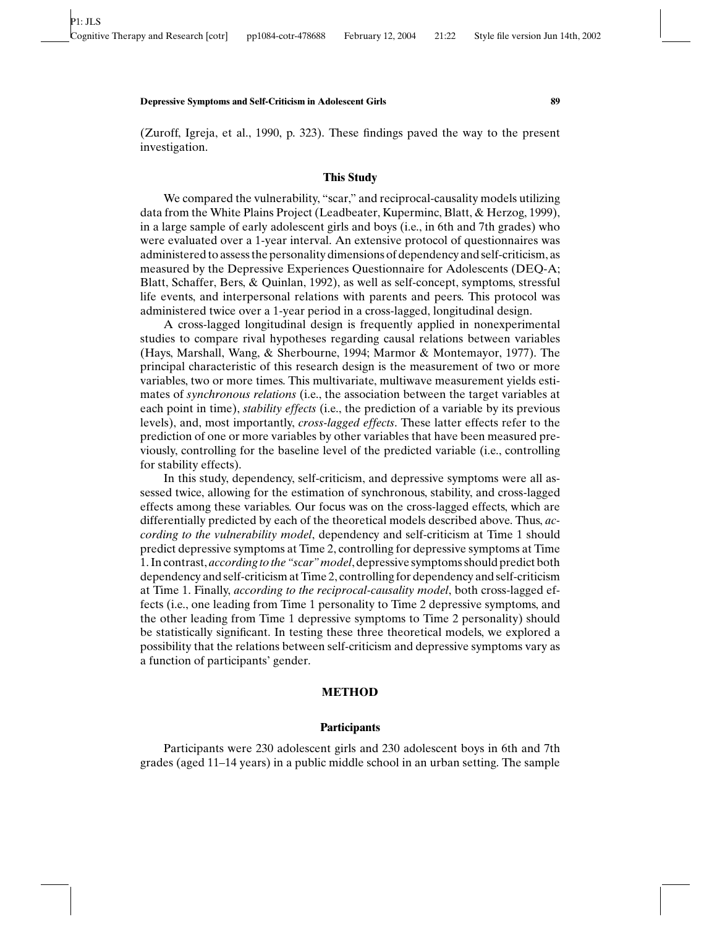(Zuroff, Igreja, et al., 1990, p. 323). These findings paved the way to the present investigation.

# **This Study**

We compared the vulnerability, "scar," and reciprocal-causality models utilizing data from the White Plains Project (Leadbeater, Kuperminc, Blatt, & Herzog, 1999), in a large sample of early adolescent girls and boys (i.e., in 6th and 7th grades) who were evaluated over a 1-year interval. An extensive protocol of questionnaires was administered to assess the personality dimensions of dependency and self-criticism, as measured by the Depressive Experiences Questionnaire for Adolescents (DEQ-A; Blatt, Schaffer, Bers, & Quinlan, 1992), as well as self-concept, symptoms, stressful life events, and interpersonal relations with parents and peers. This protocol was administered twice over a 1-year period in a cross-lagged, longitudinal design.

A cross-lagged longitudinal design is frequently applied in nonexperimental studies to compare rival hypotheses regarding causal relations between variables (Hays, Marshall, Wang, & Sherbourne, 1994; Marmor & Montemayor, 1977). The principal characteristic of this research design is the measurement of two or more variables, two or more times. This multivariate, multiwave measurement yields estimates of *synchronous relations* (i.e., the association between the target variables at each point in time), *stability effects* (i.e., the prediction of a variable by its previous levels), and, most importantly, *cross-lagged effects*. These latter effects refer to the prediction of one or more variables by other variables that have been measured previously, controlling for the baseline level of the predicted variable (i.e., controlling for stability effects).

In this study, dependency, self-criticism, and depressive symptoms were all assessed twice, allowing for the estimation of synchronous, stability, and cross-lagged effects among these variables. Our focus was on the cross-lagged effects, which are differentially predicted by each of the theoretical models described above. Thus, *according to the vulnerability model*, dependency and self-criticism at Time 1 should predict depressive symptoms at Time 2, controlling for depressive symptoms at Time 1. In contrast, *according to the "scar" model*, depressive symptoms should predict both dependency and self-criticism at Time 2, controlling for dependency and self-criticism at Time 1. Finally, *according to the reciprocal-causality model*, both cross-lagged effects (i.e., one leading from Time 1 personality to Time 2 depressive symptoms, and the other leading from Time 1 depressive symptoms to Time 2 personality) should be statistically significant. In testing these three theoretical models, we explored a possibility that the relations between self-criticism and depressive symptoms vary as a function of participants' gender.

### **METHOD**

# **Participants**

Participants were 230 adolescent girls and 230 adolescent boys in 6th and 7th grades (aged 11–14 years) in a public middle school in an urban setting. The sample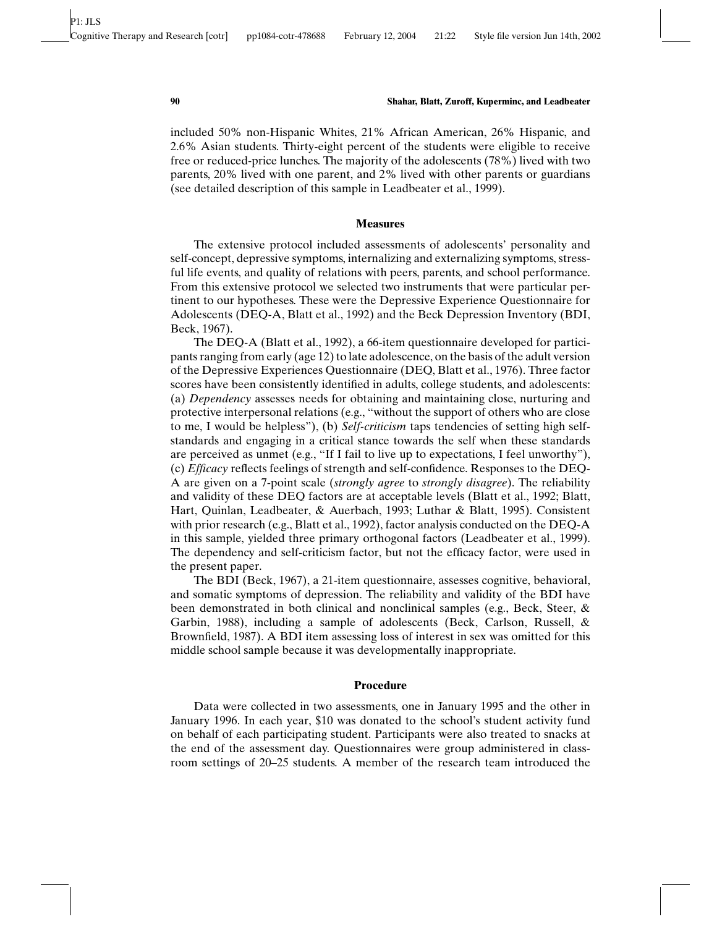included 50% non-Hispanic Whites, 21% African American, 26% Hispanic, and 2.6% Asian students. Thirty-eight percent of the students were eligible to receive free or reduced-price lunches. The majority of the adolescents (78%) lived with two parents, 20% lived with one parent, and 2% lived with other parents or guardians (see detailed description of this sample in Leadbeater et al., 1999).

## **Measures**

The extensive protocol included assessments of adolescents' personality and self-concept, depressive symptoms, internalizing and externalizing symptoms, stressful life events, and quality of relations with peers, parents, and school performance. From this extensive protocol we selected two instruments that were particular pertinent to our hypotheses. These were the Depressive Experience Questionnaire for Adolescents (DEQ-A, Blatt et al., 1992) and the Beck Depression Inventory (BDI, Beck, 1967).

The DEQ-A (Blatt et al., 1992), a 66-item questionnaire developed for participants ranging from early (age 12) to late adolescence, on the basis of the adult version of the Depressive Experiences Questionnaire (DEQ, Blatt et al., 1976). Three factor scores have been consistently identified in adults, college students, and adolescents: (a) *Dependency* assesses needs for obtaining and maintaining close, nurturing and protective interpersonal relations (e.g., "without the support of others who are close to me, I would be helpless"), (b) *Self-criticism* taps tendencies of setting high selfstandards and engaging in a critical stance towards the self when these standards are perceived as unmet (e.g., "If I fail to live up to expectations, I feel unworthy"), (c) *Efficacy* reflects feelings of strength and self-confidence. Responses to the DEQ-A are given on a 7-point scale (*strongly agree* to *strongly disagree*). The reliability and validity of these DEQ factors are at acceptable levels (Blatt et al., 1992; Blatt, Hart, Quinlan, Leadbeater, & Auerbach, 1993; Luthar & Blatt, 1995). Consistent with prior research (e.g., Blatt et al., 1992), factor analysis conducted on the DEQ-A in this sample, yielded three primary orthogonal factors (Leadbeater et al., 1999). The dependency and self-criticism factor, but not the efficacy factor, were used in the present paper.

The BDI (Beck, 1967), a 21-item questionnaire, assesses cognitive, behavioral, and somatic symptoms of depression. The reliability and validity of the BDI have been demonstrated in both clinical and nonclinical samples (e.g., Beck, Steer, & Garbin, 1988), including a sample of adolescents (Beck, Carlson, Russell, & Brownfield, 1987). A BDI item assessing loss of interest in sex was omitted for this middle school sample because it was developmentally inappropriate.

#### **Procedure**

Data were collected in two assessments, one in January 1995 and the other in January 1996. In each year, \$10 was donated to the school's student activity fund on behalf of each participating student. Participants were also treated to snacks at the end of the assessment day. Questionnaires were group administered in classroom settings of 20–25 students. A member of the research team introduced the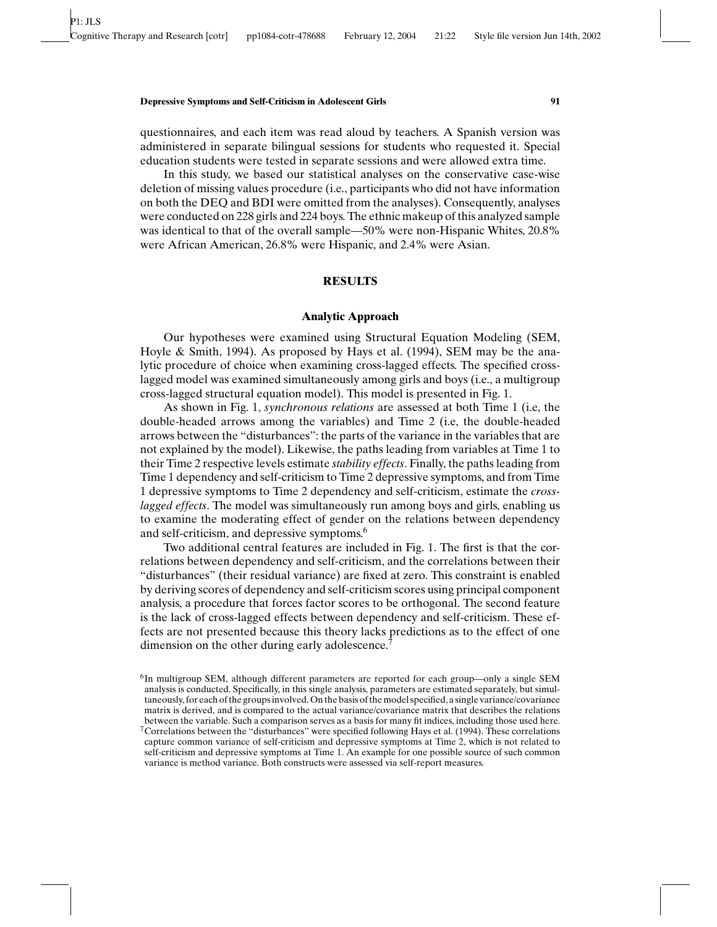questionnaires, and each item was read aloud by teachers. A Spanish version was administered in separate bilingual sessions for students who requested it. Special education students were tested in separate sessions and were allowed extra time.

In this study, we based our statistical analyses on the conservative case-wise deletion of missing values procedure (i.e., participants who did not have information on both the DEQ and BDI were omitted from the analyses). Consequently, analyses were conducted on 228 girls and 224 boys. The ethnic makeup of this analyzed sample was identical to that of the overall sample—50% were non-Hispanic Whites, 20.8% were African American, 26.8% were Hispanic, and 2.4% were Asian.

## **RESULTS**

# **Analytic Approach**

Our hypotheses were examined using Structural Equation Modeling (SEM, Hoyle & Smith, 1994). As proposed by Hays et al. (1994), SEM may be the analytic procedure of choice when examining cross-lagged effects. The specified crosslagged model was examined simultaneously among girls and boys (i.e., a multigroup cross-lagged structural equation model). This model is presented in Fig. 1.

As shown in Fig. 1, *synchronous relations* are assessed at both Time 1 (i.e, the double-headed arrows among the variables) and Time 2 (i.e, the double-headed arrows between the "disturbances": the parts of the variance in the variables that are not explained by the model). Likewise, the paths leading from variables at Time 1 to their Time 2 respective levels estimate *stability effects*. Finally, the paths leading from Time 1 dependency and self-criticism to Time 2 depressive symptoms, and from Time 1 depressive symptoms to Time 2 dependency and self-criticism, estimate the *crosslagged effects*. The model was simultaneously run among boys and girls, enabling us to examine the moderating effect of gender on the relations between dependency and self-criticism, and depressive symptoms.<sup>6</sup>

Two additional central features are included in Fig. 1. The first is that the correlations between dependency and self-criticism, and the correlations between their "disturbances" (their residual variance) are fixed at zero. This constraint is enabled by deriving scores of dependency and self-criticism scores using principal component analysis, a procedure that forces factor scores to be orthogonal. The second feature is the lack of cross-lagged effects between dependency and self-criticism. These effects are not presented because this theory lacks predictions as to the effect of one dimension on the other during early adolescence.<sup>7</sup>

 ${}^{6}$ In multigroup SEM, although different parameters are reported for each group—only a single SEM analysis is conducted. Specifically, in this single analysis, parameters are estimated separately, but simultaneously, for each of the groups involved. On the basis of the model specified, a single variance/covariance matrix is derived, and is compared to the actual variance/covariance matrix that describes the relations between the variable. Such a comparison serves as a basis for many fit indices, including those used here.

<sup>7</sup>Correlations between the "disturbances" were specified following Hays et al. (1994). These correlations capture common variance of self-criticism and depressive symptoms at Time 2, which is not related to self-criticism and depressive symptoms at Time 1. An example for one possible source of such common variance is method variance. Both constructs were assessed via self-report measures.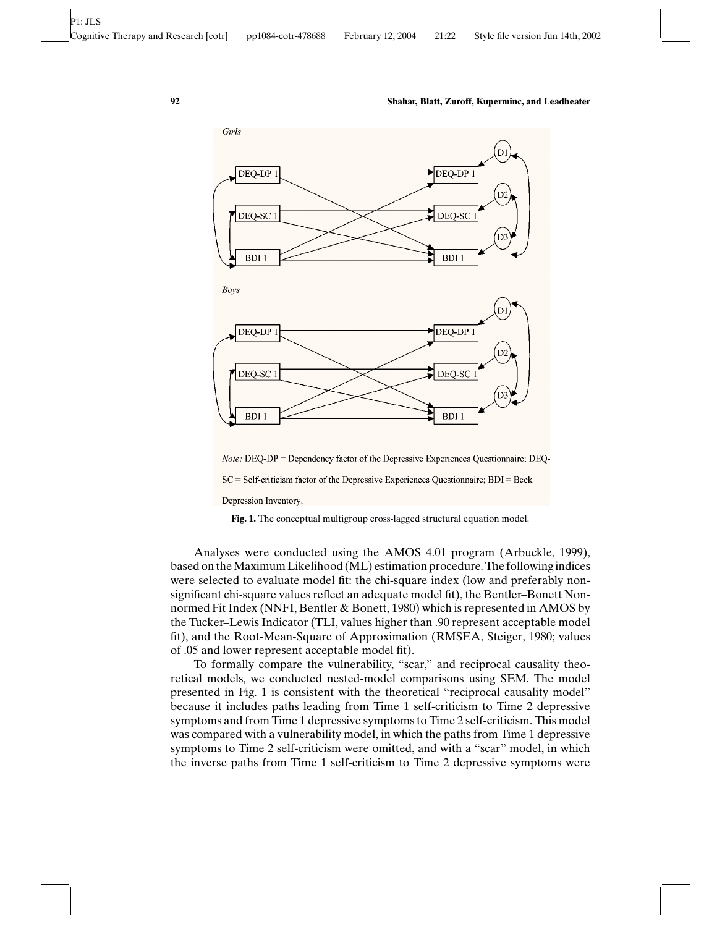

Note: DEQ-DP = Dependency factor of the Depressive Experiences Questionnaire; DEQ-

 $SC = Self-criticism factor of the Depressive Experiences Questionnaire; BDI = Beck$ 

Depression Inventory.

**Fig. 1.** The conceptual multigroup cross-lagged structural equation model.

Analyses were conducted using the AMOS 4.01 program (Arbuckle, 1999), based on the Maximum Likelihood (ML) estimation procedure. The following indices were selected to evaluate model fit: the chi-square index (low and preferably nonsignificant chi-square values reflect an adequate model fit), the Bentler–Bonett Nonnormed Fit Index (NNFI, Bentler & Bonett, 1980) which is represented in AMOS by the Tucker–Lewis Indicator (TLI, values higher than .90 represent acceptable model fit), and the Root-Mean-Square of Approximation (RMSEA, Steiger, 1980; values of .05 and lower represent acceptable model fit).

To formally compare the vulnerability, "scar," and reciprocal causality theoretical models, we conducted nested-model comparisons using SEM. The model presented in Fig. 1 is consistent with the theoretical "reciprocal causality model" because it includes paths leading from Time 1 self-criticism to Time 2 depressive symptoms and from Time 1 depressive symptoms to Time 2 self-criticism. This model was compared with a vulnerability model, in which the paths from Time 1 depressive symptoms to Time 2 self-criticism were omitted, and with a "scar" model, in which the inverse paths from Time 1 self-criticism to Time 2 depressive symptoms were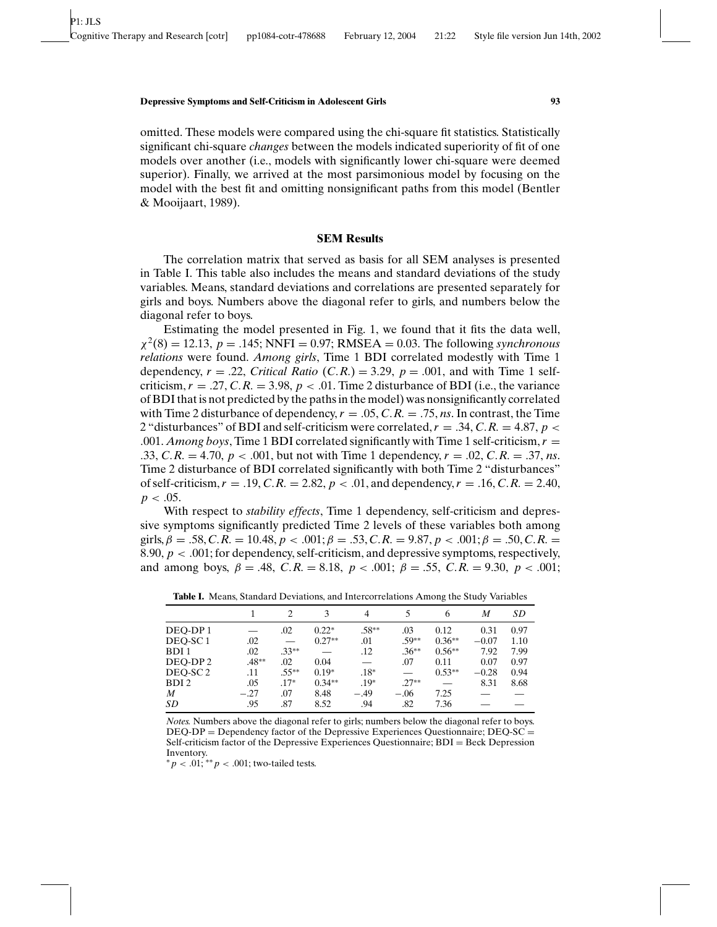omitted. These models were compared using the chi-square fit statistics. Statistically significant chi-square *changes* between the models indicated superiority of fit of one models over another (i.e., models with significantly lower chi-square were deemed superior). Finally, we arrived at the most parsimonious model by focusing on the model with the best fit and omitting nonsignificant paths from this model (Bentler & Mooijaart, 1989).

# **SEM Results**

The correlation matrix that served as basis for all SEM analyses is presented in Table I. This table also includes the means and standard deviations of the study variables. Means, standard deviations and correlations are presented separately for girls and boys. Numbers above the diagonal refer to girls, and numbers below the diagonal refer to boys.

Estimating the model presented in Fig. 1, we found that it fits the data well,  $\chi^2(8) = 12.13$ ,  $p = .145$ ; NNFI = 0.97; RMSEA = 0.03. The following *synchronous relations* were found. *Among girls*, Time 1 BDI correlated modestly with Time 1 dependency,  $r = .22$ , *Critical Ratio* (*C.R.*) = 3.29,  $p = .001$ , and with Time 1 selfcriticism,  $r = .27$ , C.R. = 3.98,  $p < .01$ . Time 2 disturbance of BDI (i.e., the variance of BDI that is not predicted by the paths in the model) was nonsignificantly correlated with Time 2 disturbance of dependency,  $r = .05$ ,  $C.R. = .75$ , *ns*. In contrast, the Time 2 "disturbances" of BDI and self-criticism were correlated,  $r = .34$ ,  $C.R. = 4.87$ ,  $p <$ .001. *Among boys*, Time 1 BDI correlated significantly with Time 1 self-criticism,  $r =$ .33, *C*.*R*. = 4.70,  $p < .001$ , but not with Time 1 dependency,  $r = .02$ , *C*.*R*. = .37, *ns*. Time 2 disturbance of BDI correlated significantly with both Time 2 "disturbances" of self-criticism,  $r = .19$ ,  $C.R. = 2.82$ ,  $p < .01$ , and dependency,  $r = .16$ ,  $C.R. = 2.40$ ,  $p < .05$ .

With respect to *stability effects*, Time 1 dependency, self-criticism and depressive symptoms significantly predicted Time 2 levels of these variables both among girls,  $\beta = .58$ ,  $C.R. = 10.48$ ,  $p < .001$ ;  $\beta = .53$ ,  $C.R. = 9.87$ ,  $p < .001$ ;  $\beta = .50$ ,  $C.R. =$ 8.90, *p* < .001; for dependency, self-criticism, and depressive symptoms, respectively, and among boys,  $\beta = .48$ ,  $C.R. = 8.18$ ,  $p < .001$ ;  $\beta = .55$ ,  $C.R. = 9.30$ ,  $p < .001$ ;

|                     |         |          |          |         |          | ັ        |         |      |
|---------------------|---------|----------|----------|---------|----------|----------|---------|------|
|                     |         |          | 3        |         |          | 6        | M       | SD   |
| DEO-DP1             |         | .02      | $0.22*$  | $.58**$ | .03      | 0.12     | 0.31    | 0.97 |
| DEO-SC <sub>1</sub> | .02     |          | $0.27**$ | .01     | $.59**$  | $0.36**$ | $-0.07$ | 1.10 |
| BDI <sub>1</sub>    | .02     | $.33***$ |          | .12     | $.36***$ | $0.56**$ | 7.92    | 7.99 |
| DEO-DP <sub>2</sub> | $.48**$ | .02      | 0.04     |         | .07      | 0.11     | 0.07    | 0.97 |
| DEO-SC <sub>2</sub> | .11     | $.55***$ | $0.19*$  | $.18*$  |          | $0.53**$ | $-0.28$ | 0.94 |
| BDI <sub>2</sub>    | .05     | $.17*$   | $0.34**$ | $.19*$  | $.27**$  |          | 8.31    | 8.68 |
| M                   | $-.27$  | .07      | 8.48     | $-.49$  | $-.06$   | 7.25     |         |      |
| SD                  | .95     | .87      | 8.52     | .94     | .82      | 7.36     |         |      |

**Table I.** Means, Standard Deviations, and Intercorrelations Among the Study Variables

*Notes.* Numbers above the diagonal refer to girls; numbers below the diagonal refer to boys.  $DEQ-DP = Dependency factor of the Depressive Experiences Questionnaire; DEQ-SC =$ Self-criticism factor of the Depressive Experiences Questionnaire; BDI = Beck Depression Inventory.

∗ *p* < .01; ∗∗ *p* < .001; two-tailed tests.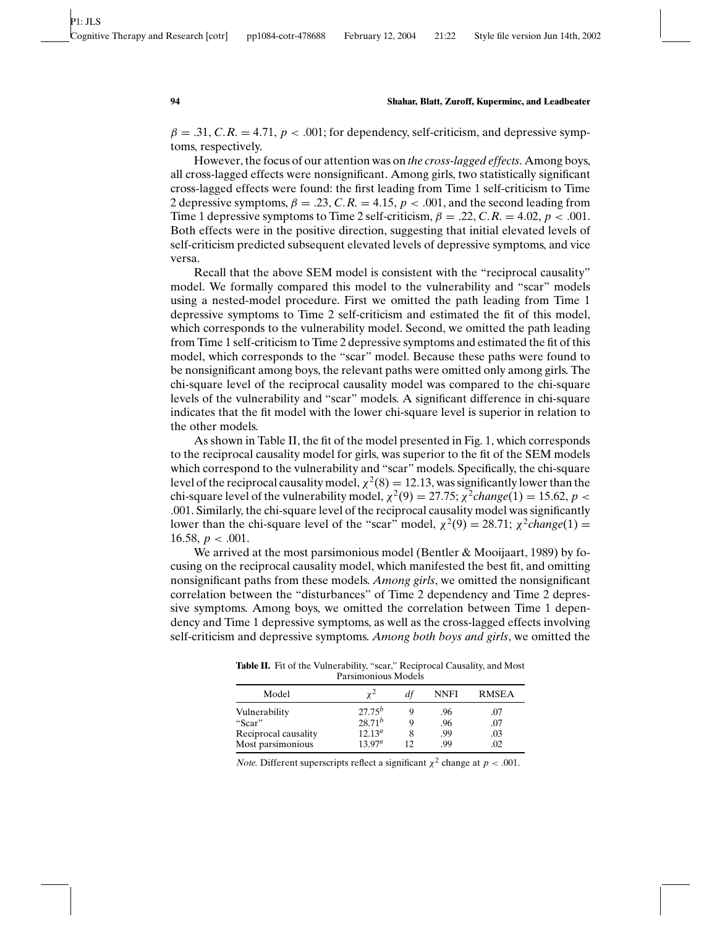$\beta = .31, C.R. = 4.71, p < .001$ ; for dependency, self-criticism, and depressive symptoms, respectively.

However, the focus of our attention was on *the cross-lagged effects*. Among boys, all cross-lagged effects were nonsignificant. Among girls, two statistically significant cross-lagged effects were found: the first leading from Time 1 self-criticism to Time 2 depressive symptoms,  $\beta = .23$ ,  $C.R. = 4.15$ ,  $p < .001$ , and the second leading from Time 1 depressive symptoms to Time 2 self-criticism,  $\beta = .22$ , C.*R.* = 4.02,  $p < .001$ . Both effects were in the positive direction, suggesting that initial elevated levels of self-criticism predicted subsequent elevated levels of depressive symptoms, and vice versa.

Recall that the above SEM model is consistent with the "reciprocal causality" model. We formally compared this model to the vulnerability and "scar" models using a nested-model procedure. First we omitted the path leading from Time 1 depressive symptoms to Time 2 self-criticism and estimated the fit of this model, which corresponds to the vulnerability model. Second, we omitted the path leading from Time 1 self-criticism to Time 2 depressive symptoms and estimated the fit of this model, which corresponds to the "scar" model. Because these paths were found to be nonsignificant among boys, the relevant paths were omitted only among girls. The chi-square level of the reciprocal causality model was compared to the chi-square levels of the vulnerability and "scar" models. A significant difference in chi-square indicates that the fit model with the lower chi-square level is superior in relation to the other models.

As shown in Table II, the fit of the model presented in Fig. 1, which corresponds to the reciprocal causality model for girls, was superior to the fit of the SEM models which correspond to the vulnerability and "scar" models. Specifically, the chi-square level of the reciprocal causality model,  $\chi^2(8) = 12.13$ , was significantly lower than the chi-square level of the vulnerability model,  $\chi^2(9) = 27.75$ ;  $\chi^2$ *change*(1) = 15.62, *p* < .001. Similarly, the chi-square level of the reciprocal causality model was significantly lower than the chi-square level of the "scar" model,  $\chi^2(9) = 28.71$ ;  $\chi^2$ *change*(1) = 16.58,  $p < .001$ .

We arrived at the most parsimonious model (Bentler & Mooijaart, 1989) by focusing on the reciprocal causality model, which manifested the best fit, and omitting nonsignificant paths from these models. *Among girls*, we omitted the nonsignificant correlation between the "disturbances" of Time 2 dependency and Time 2 depressive symptoms. Among boys, we omitted the correlation between Time 1 dependency and Time 1 depressive symptoms, as well as the cross-lagged effects involving self-criticism and depressive symptoms. *Among both boys and girls*, we omitted the

Table II. Fit of the Vulnerability, "scar," Reciprocal Causality, and Most Parsimonious Models

| Model                |                    | df | <b>NNFI</b> | <b>RMSEA</b> |
|----------------------|--------------------|----|-------------|--------------|
| Vulnerability        | $27.75^{b}$        |    | .96         | .07          |
| "Scar"               | $28.71^{b}$        |    | .96         | .07          |
| Reciprocal causality | 12.13 <sup>a</sup> |    | .99         | .03          |
| Most parsimonious    | $13.97^a$          |    | -99         | 02           |

*Note.* Different superscripts reflect a significant  $\chi^2$  change at  $p < .001$ .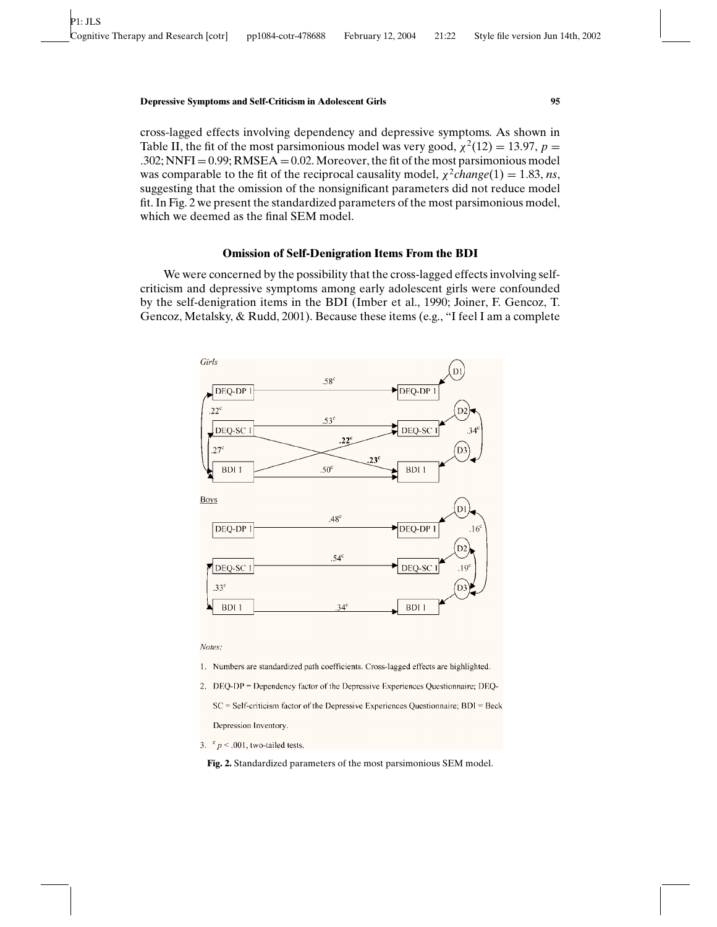cross-lagged effects involving dependency and depressive symptoms. As shown in Table II, the fit of the most parsimonious model was very good,  $\chi^2(12) = 13.97$ ,  $p =$ .302; NNFI = 0.99; RMSEA = 0.02. Moreover, the fit of the most parsimonious model was comparable to the fit of the reciprocal causality model,  $\chi^2$ *change*(1) = 1.83, *ns*, suggesting that the omission of the nonsignificant parameters did not reduce model fit. In Fig. 2 we present the standardized parameters of the most parsimonious model, which we deemed as the final SEM model.

#### **Omission of Self-Denigration Items From the BDI**

We were concerned by the possibility that the cross-lagged effects involving selfcriticism and depressive symptoms among early adolescent girls were confounded by the self-denigration items in the BDI (Imber et al., 1990; Joiner, F. Gencoz, T. Gencoz, Metalsky, & Rudd, 2001). Because these items (e.g., "I feel I am a complete



Notes:

- 1. Numbers are standardized path coefficients. Cross-lagged effects are highlighted.
- 2. DEQ-DP = Dependency factor of the Depressive Experiences Questionnaire; DEQ-SC = Self-criticism factor of the Depressive Experiences Questionnaire; BDI = Beck Depression Inventory.
- 3.  $P \sim 0.01$ , two-tailed tests.

**Fig. 2.** Standardized parameters of the most parsimonious SEM model.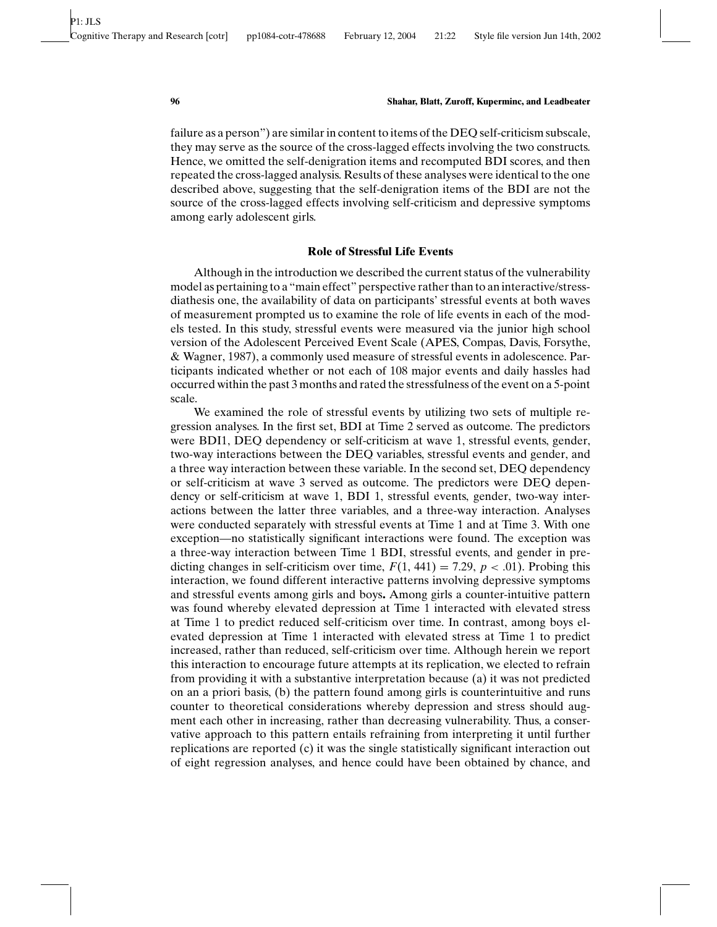failure as a person") are similar in content to items of the DEQ self-criticism subscale, they may serve as the source of the cross-lagged effects involving the two constructs. Hence, we omitted the self-denigration items and recomputed BDI scores, and then repeated the cross-lagged analysis. Results of these analyses were identical to the one described above, suggesting that the self-denigration items of the BDI are not the source of the cross-lagged effects involving self-criticism and depressive symptoms among early adolescent girls.

### **Role of Stressful Life Events**

Although in the introduction we described the current status of the vulnerability model as pertaining to a "main effect" perspective rather than to an interactive/stressdiathesis one, the availability of data on participants' stressful events at both waves of measurement prompted us to examine the role of life events in each of the models tested. In this study, stressful events were measured via the junior high school version of the Adolescent Perceived Event Scale (APES, Compas, Davis, Forsythe, & Wagner, 1987), a commonly used measure of stressful events in adolescence. Participants indicated whether or not each of 108 major events and daily hassles had occurred within the past 3 months and rated the stressfulness of the event on a 5-point scale.

We examined the role of stressful events by utilizing two sets of multiple regression analyses. In the first set, BDI at Time 2 served as outcome. The predictors were BDI1, DEQ dependency or self-criticism at wave 1, stressful events, gender, two-way interactions between the DEQ variables, stressful events and gender, and a three way interaction between these variable. In the second set, DEQ dependency or self-criticism at wave 3 served as outcome. The predictors were DEQ dependency or self-criticism at wave 1, BDI 1, stressful events, gender, two-way interactions between the latter three variables, and a three-way interaction. Analyses were conducted separately with stressful events at Time 1 and at Time 3. With one exception—no statistically significant interactions were found. The exception was a three-way interaction between Time 1 BDI, stressful events, and gender in predicting changes in self-criticism over time,  $F(1, 441) = 7.29$ ,  $p < .01$ ). Probing this interaction, we found different interactive patterns involving depressive symptoms and stressful events among girls and boys**.** Among girls a counter-intuitive pattern was found whereby elevated depression at Time 1 interacted with elevated stress at Time 1 to predict reduced self-criticism over time. In contrast, among boys elevated depression at Time 1 interacted with elevated stress at Time 1 to predict increased, rather than reduced, self-criticism over time. Although herein we report this interaction to encourage future attempts at its replication, we elected to refrain from providing it with a substantive interpretation because (a) it was not predicted on an a priori basis, (b) the pattern found among girls is counterintuitive and runs counter to theoretical considerations whereby depression and stress should augment each other in increasing, rather than decreasing vulnerability. Thus, a conservative approach to this pattern entails refraining from interpreting it until further replications are reported (c) it was the single statistically significant interaction out of eight regression analyses, and hence could have been obtained by chance, and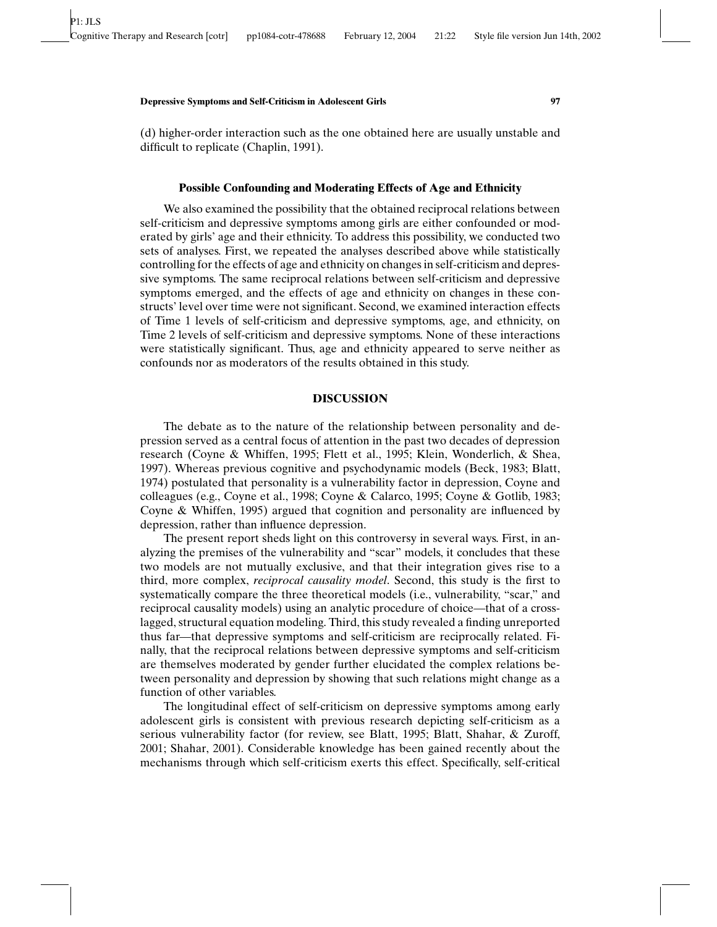(d) higher-order interaction such as the one obtained here are usually unstable and difficult to replicate (Chaplin, 1991).

# **Possible Confounding and Moderating Effects of Age and Ethnicity**

We also examined the possibility that the obtained reciprocal relations between self-criticism and depressive symptoms among girls are either confounded or moderated by girls' age and their ethnicity. To address this possibility, we conducted two sets of analyses. First, we repeated the analyses described above while statistically controlling for the effects of age and ethnicity on changes in self-criticism and depressive symptoms. The same reciprocal relations between self-criticism and depressive symptoms emerged, and the effects of age and ethnicity on changes in these constructs' level over time were not significant. Second, we examined interaction effects of Time 1 levels of self-criticism and depressive symptoms, age, and ethnicity, on Time 2 levels of self-criticism and depressive symptoms. None of these interactions were statistically significant. Thus, age and ethnicity appeared to serve neither as confounds nor as moderators of the results obtained in this study.

# **DISCUSSION**

The debate as to the nature of the relationship between personality and depression served as a central focus of attention in the past two decades of depression research (Coyne & Whiffen, 1995; Flett et al., 1995; Klein, Wonderlich, & Shea, 1997). Whereas previous cognitive and psychodynamic models (Beck, 1983; Blatt, 1974) postulated that personality is a vulnerability factor in depression, Coyne and colleagues (e.g., Coyne et al., 1998; Coyne & Calarco, 1995; Coyne & Gotlib, 1983; Coyne & Whiffen, 1995) argued that cognition and personality are influenced by depression, rather than influence depression.

The present report sheds light on this controversy in several ways. First, in analyzing the premises of the vulnerability and "scar" models, it concludes that these two models are not mutually exclusive, and that their integration gives rise to a third, more complex, *reciprocal causality model*. Second, this study is the first to systematically compare the three theoretical models (i.e., vulnerability, "scar," and reciprocal causality models) using an analytic procedure of choice—that of a crosslagged, structural equation modeling. Third, this study revealed a finding unreported thus far—that depressive symptoms and self-criticism are reciprocally related. Finally, that the reciprocal relations between depressive symptoms and self-criticism are themselves moderated by gender further elucidated the complex relations between personality and depression by showing that such relations might change as a function of other variables.

The longitudinal effect of self-criticism on depressive symptoms among early adolescent girls is consistent with previous research depicting self-criticism as a serious vulnerability factor (for review, see Blatt, 1995; Blatt, Shahar, & Zuroff, 2001; Shahar, 2001). Considerable knowledge has been gained recently about the mechanisms through which self-criticism exerts this effect. Specifically, self-critical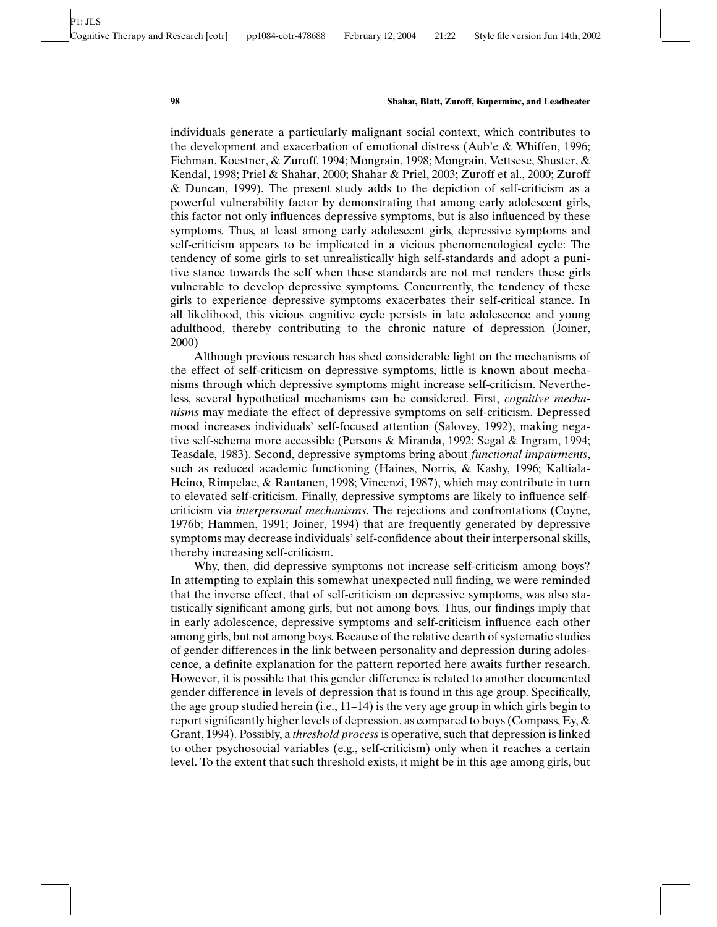individuals generate a particularly malignant social context, which contributes to the development and exacerbation of emotional distress (Aub'e & Whiffen, 1996; Fichman, Koestner, & Zuroff, 1994; Mongrain, 1998; Mongrain, Vettsese, Shuster, & Kendal, 1998; Priel & Shahar, 2000; Shahar & Priel, 2003; Zuroff et al., 2000; Zuroff & Duncan, 1999). The present study adds to the depiction of self-criticism as a powerful vulnerability factor by demonstrating that among early adolescent girls, this factor not only influences depressive symptoms, but is also influenced by these symptoms. Thus, at least among early adolescent girls, depressive symptoms and self-criticism appears to be implicated in a vicious phenomenological cycle: The tendency of some girls to set unrealistically high self-standards and adopt a punitive stance towards the self when these standards are not met renders these girls vulnerable to develop depressive symptoms. Concurrently, the tendency of these girls to experience depressive symptoms exacerbates their self-critical stance. In all likelihood, this vicious cognitive cycle persists in late adolescence and young adulthood, thereby contributing to the chronic nature of depression (Joiner, 2000)

Although previous research has shed considerable light on the mechanisms of the effect of self-criticism on depressive symptoms, little is known about mechanisms through which depressive symptoms might increase self-criticism. Nevertheless, several hypothetical mechanisms can be considered. First, *cognitive mechanisms* may mediate the effect of depressive symptoms on self-criticism. Depressed mood increases individuals' self-focused attention (Salovey, 1992), making negative self-schema more accessible (Persons & Miranda, 1992; Segal & Ingram, 1994; Teasdale, 1983). Second, depressive symptoms bring about *functional impairments*, such as reduced academic functioning (Haines, Norris, & Kashy, 1996; Kaltiala-Heino, Rimpelae, & Rantanen, 1998; Vincenzi, 1987), which may contribute in turn to elevated self-criticism. Finally, depressive symptoms are likely to influence selfcriticism via *interpersonal mechanisms*. The rejections and confrontations (Coyne, 1976b; Hammen, 1991; Joiner, 1994) that are frequently generated by depressive symptoms may decrease individuals' self-confidence about their interpersonal skills, thereby increasing self-criticism.

Why, then, did depressive symptoms not increase self-criticism among boys? In attempting to explain this somewhat unexpected null finding, we were reminded that the inverse effect, that of self-criticism on depressive symptoms, was also statistically significant among girls, but not among boys. Thus, our findings imply that in early adolescence, depressive symptoms and self-criticism influence each other among girls, but not among boys. Because of the relative dearth of systematic studies of gender differences in the link between personality and depression during adolescence, a definite explanation for the pattern reported here awaits further research. However, it is possible that this gender difference is related to another documented gender difference in levels of depression that is found in this age group. Specifically, the age group studied herein (i.e., 11–14) is the very age group in which girls begin to report significantly higher levels of depression, as compared to boys (Compass, Ey,  $\&$ Grant, 1994). Possibly, a *threshold process* is operative, such that depression is linked to other psychosocial variables (e.g., self-criticism) only when it reaches a certain level. To the extent that such threshold exists, it might be in this age among girls, but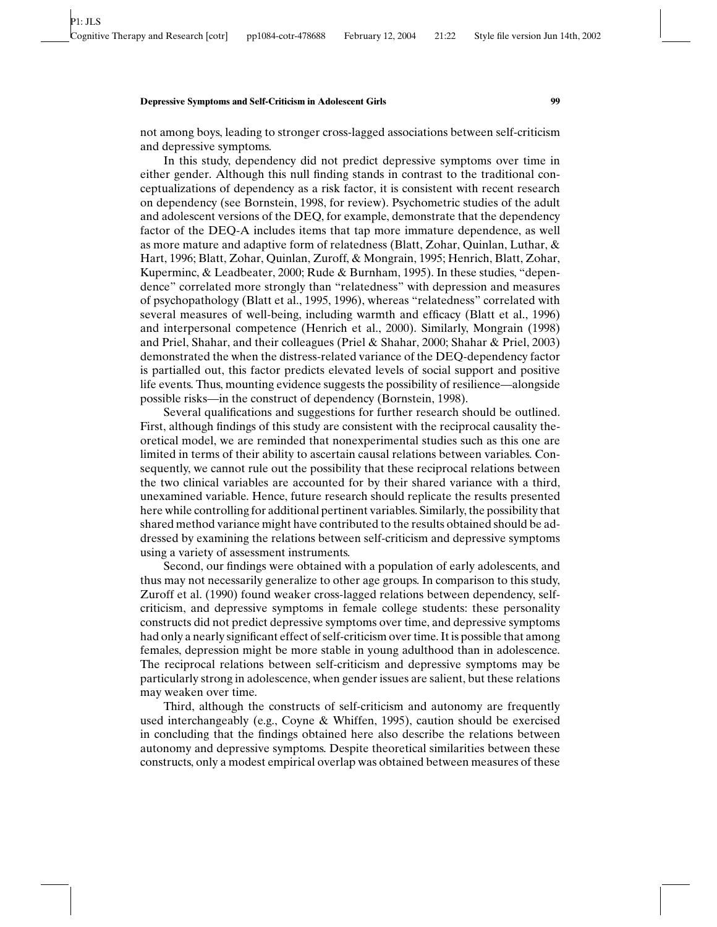#### **Depressive Symptoms and Self-Criticism in Adolescent Girls 99**

not among boys, leading to stronger cross-lagged associations between self-criticism and depressive symptoms.

In this study, dependency did not predict depressive symptoms over time in either gender. Although this null finding stands in contrast to the traditional conceptualizations of dependency as a risk factor, it is consistent with recent research on dependency (see Bornstein, 1998, for review). Psychometric studies of the adult and adolescent versions of the DEQ, for example, demonstrate that the dependency factor of the DEQ-A includes items that tap more immature dependence, as well as more mature and adaptive form of relatedness (Blatt, Zohar, Quinlan, Luthar, & Hart, 1996; Blatt, Zohar, Quinlan, Zuroff, & Mongrain, 1995; Henrich, Blatt, Zohar, Kuperminc, & Leadbeater, 2000; Rude & Burnham, 1995). In these studies, "dependence" correlated more strongly than "relatedness" with depression and measures of psychopathology (Blatt et al., 1995, 1996), whereas "relatedness" correlated with several measures of well-being, including warmth and efficacy (Blatt et al., 1996) and interpersonal competence (Henrich et al., 2000). Similarly, Mongrain (1998) and Priel, Shahar, and their colleagues (Priel & Shahar, 2000; Shahar & Priel, 2003) demonstrated the when the distress-related variance of the DEQ-dependency factor is partialled out, this factor predicts elevated levels of social support and positive life events. Thus, mounting evidence suggests the possibility of resilience—alongside possible risks—in the construct of dependency (Bornstein, 1998).

Several qualifications and suggestions for further research should be outlined. First, although findings of this study are consistent with the reciprocal causality theoretical model, we are reminded that nonexperimental studies such as this one are limited in terms of their ability to ascertain causal relations between variables. Consequently, we cannot rule out the possibility that these reciprocal relations between the two clinical variables are accounted for by their shared variance with a third, unexamined variable. Hence, future research should replicate the results presented here while controlling for additional pertinent variables. Similarly, the possibility that shared method variance might have contributed to the results obtained should be addressed by examining the relations between self-criticism and depressive symptoms using a variety of assessment instruments.

Second, our findings were obtained with a population of early adolescents, and thus may not necessarily generalize to other age groups. In comparison to this study, Zuroff et al. (1990) found weaker cross-lagged relations between dependency, selfcriticism, and depressive symptoms in female college students: these personality constructs did not predict depressive symptoms over time, and depressive symptoms had only a nearly significant effect of self-criticism over time. It is possible that among females, depression might be more stable in young adulthood than in adolescence. The reciprocal relations between self-criticism and depressive symptoms may be particularly strong in adolescence, when gender issues are salient, but these relations may weaken over time.

Third, although the constructs of self-criticism and autonomy are frequently used interchangeably (e.g., Coyne & Whiffen, 1995), caution should be exercised in concluding that the findings obtained here also describe the relations between autonomy and depressive symptoms. Despite theoretical similarities between these constructs, only a modest empirical overlap was obtained between measures of these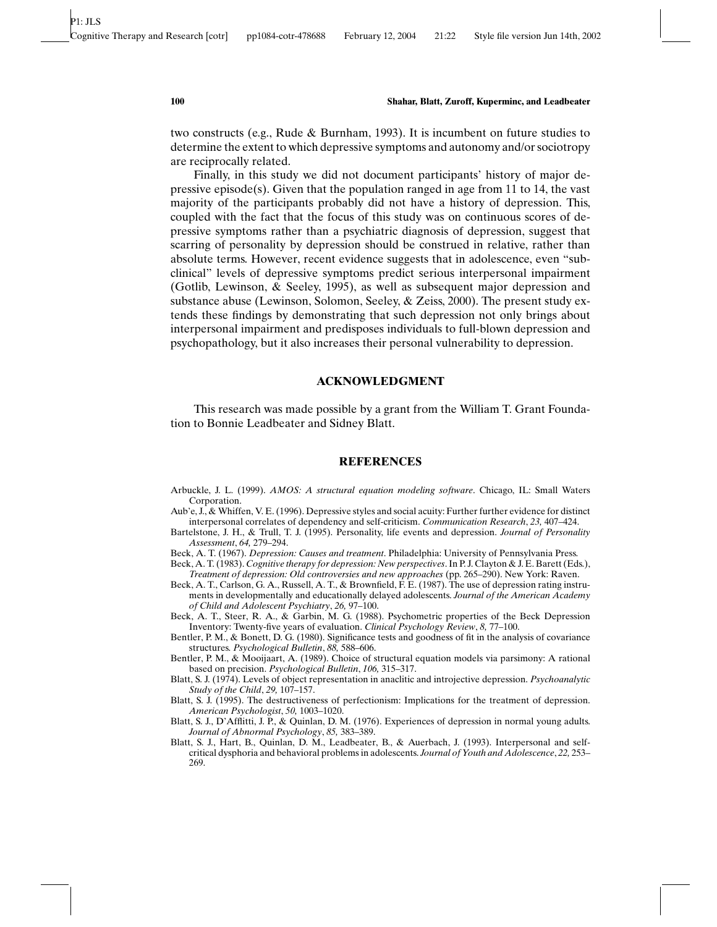two constructs (e.g., Rude & Burnham, 1993). It is incumbent on future studies to determine the extent to which depressive symptoms and autonomy and/or sociotropy are reciprocally related.

Finally, in this study we did not document participants' history of major depressive episode(s). Given that the population ranged in age from  $11$  to  $14$ , the vast majority of the participants probably did not have a history of depression. This, coupled with the fact that the focus of this study was on continuous scores of depressive symptoms rather than a psychiatric diagnosis of depression, suggest that scarring of personality by depression should be construed in relative, rather than absolute terms. However, recent evidence suggests that in adolescence, even "subclinical" levels of depressive symptoms predict serious interpersonal impairment (Gotlib, Lewinson, & Seeley, 1995), as well as subsequent major depression and substance abuse (Lewinson, Solomon, Seeley, & Zeiss, 2000). The present study extends these findings by demonstrating that such depression not only brings about interpersonal impairment and predisposes individuals to full-blown depression and psychopathology, but it also increases their personal vulnerability to depression.

# **ACKNOWLEDGMENT**

This research was made possible by a grant from the William T. Grant Foundation to Bonnie Leadbeater and Sidney Blatt.

### **REFERENCES**

- Arbuckle, J. L. (1999). *AMOS: A structural equation modeling software*. Chicago, IL: Small Waters Corporation.
- Aub'e, J., & Whiffen, V. E. (1996). Depressive styles and social acuity: Further further evidence for distinct interpersonal correlates of dependency and self-criticism. *Communication Research*, *23,* 407–424.
- Bartelstone, J. H., & Trull, T. J. (1995). Personality, life events and depression. *Journal of Personality Assessment*, *64,* 279–294.
- Beck, A. T. (1967). *Depression: Causes and treatment*. Philadelphia: University of Pennsylvania Press.
- Beck, A. T. (1983). *Cognitive therapy for depression: New perspectives*. In P. J. Clayton & J. E. Barett (Eds.), *Treatment of depression: Old controversies and new approaches* (pp. 265–290). New York: Raven.
- Beck, A. T., Carlson, G. A., Russell, A. T., & Brownfield, F. E. (1987). The use of depression rating instruments in developmentally and educationally delayed adolescents. *Journal of the American Academy of Child and Adolescent Psychiatry*, *26,* 97–100.
- Beck, A. T., Steer, R. A., & Garbin, M. G. (1988). Psychometric properties of the Beck Depression Inventory: Twenty-five years of evaluation. *Clinical Psychology Review*, *8,* 77–100.
- Bentler, P. M., & Bonett, D. G. (1980). Significance tests and goodness of fit in the analysis of covariance structures. *Psychological Bulletin*, *88,* 588–606.
- Bentler, P. M., & Mooijaart, A. (1989). Choice of structural equation models via parsimony: A rational based on precision. *Psychological Bulletin*, *106,* 315–317.
- Blatt, S. J. (1974). Levels of object representation in anaclitic and introjective depression. *Psychoanalytic Study of the Child*, *29,* 107–157.
- Blatt, S. J. (1995). The destructiveness of perfectionism: Implications for the treatment of depression. *American Psychologist*, *50,* 1003–1020.
- Blatt, S. J., D'Afflitti, J. P., & Quinlan, D. M. (1976). Experiences of depression in normal young adults. *Journal of Abnormal Psychology*, *85,* 383–389.
- Blatt, S. J., Hart, B., Quinlan, D. M., Leadbeater, B., & Auerbach, J. (1993). Interpersonal and selfcritical dysphoria and behavioral problems in adolescents. *Journal of Youth and Adolescence*, *22,* 253– 269.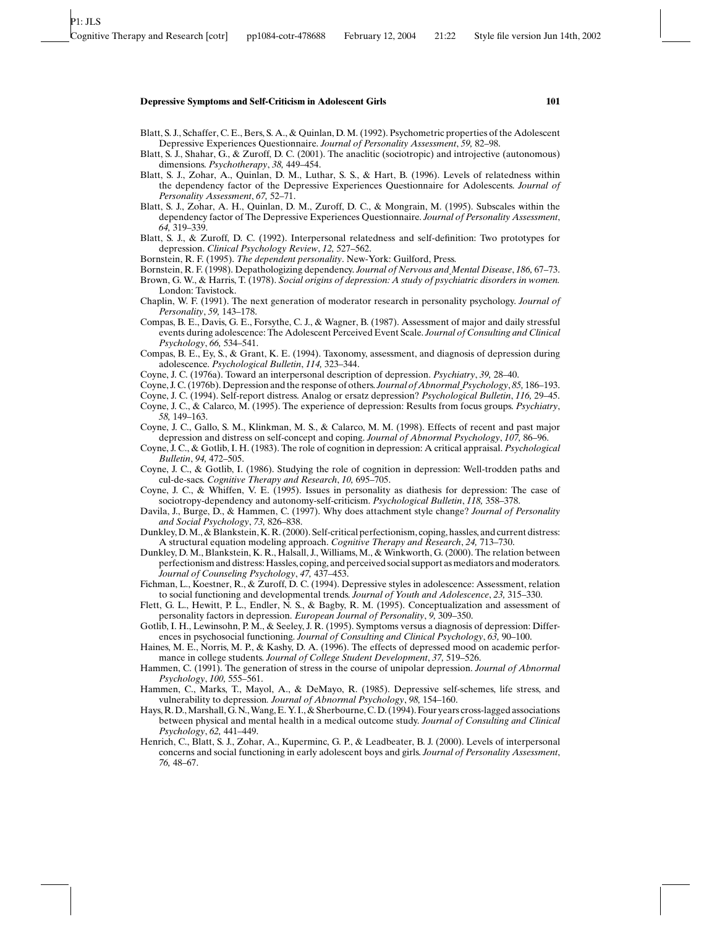#### **Depressive Symptoms and Self-Criticism in Adolescent Girls 101**

- Blatt, S. J., Schaffer, C. E., Bers, S. A., & Quinlan, D. M. (1992). Psychometric properties of the Adolescent Depressive Experiences Questionnaire. *Journal of Personality Assessment*, *59,* 82–98.
- Blatt, S. J., Shahar, G., & Zuroff, D. C. (2001). The anaclitic (sociotropic) and introjective (autonomous) dimensions. *Psychotherapy*, *38,* 449–454.
- Blatt, S. J., Zohar, A., Quinlan, D. M., Luthar, S. S., & Hart, B. (1996). Levels of relatedness within the dependency factor of the Depressive Experiences Questionnaire for Adolescents. *Journal of Personality Assessment*, *67,* 52–71.
- Blatt, S. J., Zohar, A. H., Quinlan, D. M., Zuroff, D. C., & Mongrain, M. (1995). Subscales within the dependency factor of The Depressive Experiences Questionnaire. *Journal of Personality Assessment*, *64,* 319–339.
- Blatt, S. J., & Zuroff, D. C. (1992). Interpersonal relatedness and self-definition: Two prototypes for depression. *Clinical Psychology Review*, *12,* 527–562.
- Bornstein, R. F. (1995). *The dependent personality*. New-York: Guilford, Press.
- Bornstein, R. F. (1998). Depathologizing dependency. *Journal of Nervous and Mental Disease*, *186,* 67–73.
- Brown, G. W., & Harris, T. (1978). *Social origins of depression: A study of psychiatric disorders in women.* London: Tavistock.
- Chaplin, W. F. (1991). The next generation of moderator research in personality psychology. *Journal of Personality*, *59,* 143–178.
- Compas, B. E., Davis, G. E., Forsythe, C. J., & Wagner, B. (1987). Assessment of major and daily stressful events during adolescence: The Adolescent Perceived Event Scale. *Journal of Consulting and Clinical Psychology*, *66,* 534–541.
- Compas, B. E., Ey, S., & Grant, K. E. (1994). Taxonomy, assessment, and diagnosis of depression during adolescence. *Psychological Bulletin*, *114,* 323–344.
- Coyne, J. C. (1976a). Toward an interpersonal description of depression. *Psychiatry*, *39,* 28–40.
- Coyne, J. C. (1976b). Depression and the response of others. *Journal of Abnormal Psychology*, *85,* 186–193.
- Coyne, J. C. (1994). Self-report distress. Analog or ersatz depression? *Psychological Bulletin*, *116,* 29–45.
- Coyne, J. C., & Calarco, M. (1995). The experience of depression: Results from focus groups. *Psychiatry*, *58,* 149–163.
- Coyne, J. C., Gallo, S. M., Klinkman, M. S., & Calarco, M. M. (1998). Effects of recent and past major depression and distress on self-concept and coping. *Journal of Abnormal Psychology*, *107,* 86–96.
- Coyne, J. C., & Gotlib, I. H. (1983). The role of cognition in depression: A critical appraisal. *Psychological Bulletin*, *94,* 472–505.
- Coyne, J. C., & Gotlib, I. (1986). Studying the role of cognition in depression: Well-trodden paths and cul-de-sacs. *Cognitive Therapy and Research*, *10,* 695–705.
- Coyne, J. C., & Whiffen, V. E. (1995). Issues in personality as diathesis for depression: The case of sociotropy-dependency and autonomy-self-criticism. *Psychological Bulletin*, *118,* 358–378.
- Davila, J., Burge, D., & Hammen, C. (1997). Why does attachment style change? *Journal of Personality and Social Psychology*, *73,* 826–838.
- Dunkley, D. M., & Blankstein, K. R. (2000). Self-critical perfectionism, coping, hassles, and current distress: A structural equation modeling approach. *Cognitive Therapy and Research*, *24,* 713–730.
- Dunkley, D. M., Blankstein, K. R., Halsall, J., Williams, M., & Winkworth, G. (2000). The relation between perfectionism and distress: Hassles, coping, and perceived social support as mediators and moderators. *Journal of Counseling Psychology*, *47,* 437–453.
- Fichman, L., Koestner, R., & Zuroff, D. C. (1994). Depressive styles in adolescence: Assessment, relation to social functioning and developmental trends. *Journal of Youth and Adolescence*, *23,* 315–330.
- Flett, G. L., Hewitt, P. L., Endler, N. S., & Bagby, R. M. (1995). Conceptualization and assessment of personality factors in depression. *European Journal of Personality*, *9,* 309–350.
- Gotlib, I. H., Lewinsohn, P. M., & Seeley, J. R. (1995). Symptoms versus a diagnosis of depression: Differences in psychosocial functioning. *Journal of Consulting and Clinical Psychology*, *63,* 90–100.
- Haines, M. E., Norris, M. P., & Kashy, D. A. (1996). The effects of depressed mood on academic performance in college students. *Journal of College Student Development*, *37,* 519–526.
- Hammen, C. (1991). The generation of stress in the course of unipolar depression. *Journal of Abnormal Psychology*, *100,* 555–561.
- Hammen, C., Marks, T., Mayol, A., & DeMayo, R. (1985). Depressive self-schemes, life stress, and vulnerability to depression*. Journal of Abnormal Psychology*, *98,* 154–160.
- Hays, R. D., Marshall, G. N., Wang, E. Y. I., & Sherbourne, C. D. (1994). Four years cross-lagged associations between physical and mental health in a medical outcome study. *Journal of Consulting and Clinical Psychology*, *62,* 441–449.
- Henrich, C., Blatt, S. J., Zohar, A., Kuperminc, G. P., & Leadbeater, B. J. (2000). Levels of interpersonal concerns and social functioning in early adolescent boys and girls. *Journal of Personality Assessment*, *76,* 48–67.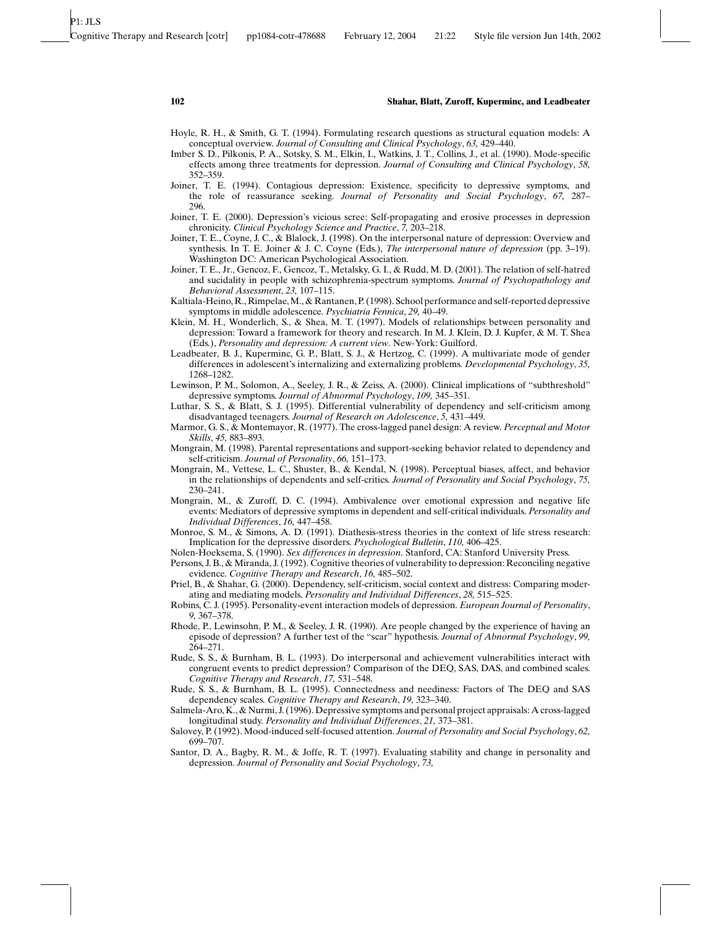- Hoyle, R. H., & Smith, G. T. (1994). Formulating research questions as structural equation models: A conceptual overview. *Journal of Consulting and Clinical Psychology*, *63,* 429–440.
- Imber S. D., Pilkonis, P. A., Sotsky, S. M., Elkin, I., Watkins, J. T., Collins, J., et al. (1990). Mode-specific effects among three treatments for depression. *Journal of Consulting and Clinical Psychology*, *58,* 352–359.
- Joiner, T. E. (1994). Contagious depression: Existence, specificity to depressive symptoms, and the role of reassurance seeking. *Journal of Personality and Social Psychology*, *67,* 287– 296.
- Joiner, T. E. (2000). Depression's vicious scree: Self-propagating and erosive processes in depression chronicity. *Clinical Psychology Science and Practice*, *7,* 203–218.
- Joiner, T. E., Coyne, J. C., & Blalock, J. (1998). On the interpersonal nature of depression: Overview and synthesis. In T. E. Joiner & J. C. Coyne (Eds.), *The interpersonal nature of depression* (pp. 3–19). Washington DC: American Psychological Association.
- Joiner, T. E., Jr., Gencoz, F., Gencoz, T., Metalsky, G. I., & Rudd, M. D. (2001). The relation of self-hatred and sucidality in people with schizophrenia-spectrum symptoms. *Journal of Psychopathology and Behavioral Assessment*, *23,* 107–115.
- Kaltiala-Heino, R., Rimpelae, M., & Rantanen, P. (1998). School performance and self-reported depressive symptoms in middle adolescence. *Psychiatria Fennica*, *29,* 40–49.
- Klein, M. H., Wonderlich, S., & Shea, M. T. (1997). Models of relationships between personality and depression: Toward a framework for theory and research. In M. J. Klein, D. J. Kupfer, & M. T. Shea (Eds.), *Personality and depression: A current view*. New-York: Guilford.
- Leadbeater, B. J., Kuperminc, G. P., Blatt, S. J., & Hertzog, C. (1999). A multivariate mode of gender differences in adolescent's internalizing and externalizing problems. *Developmental Psychology*, *35,* 1268–1282.
- Lewinson, P. M., Solomon, A., Seeley, J. R., & Zeiss, A. (2000). Clinical implications of "subthreshold" depressive symptoms. *Journal of Abnormal Psychology*, *109,* 345–351.
- Luthar, S. S., & Blatt, S. J. (1995). Differential vulnerability of dependency and self-criticism among disadvantaged teenagers. *Journal of Research on Adolescence*, *5,* 431–449.
- Marmor, G. S., & Montemayor, R. (1977). The cross-lagged panel design: A review. *Perceptual and Motor Skills*, *45,* 883–893.
- Mongrain, M. (1998). Parental representations and support-seeking behavior related to dependency and self-criticism. *Journal of Personality*, *66,* 151–173.
- Mongrain, M., Vettese, L. C., Shuster, B., & Kendal, N. (1998). Perceptual biases, affect, and behavior in the relationships of dependents and self-critics. *Journal of Personality and Social Psychology*, *75,* 230–241.
- Mongrain, M., & Zuroff, D. C. (1994). Ambivalence over emotional expression and negative life events: Mediators of depressive symptoms in dependent and self-critical individuals. *Personality and Individual Differences*, *16,* 447–458.
- Monroe, S. M., & Simons, A. D. (1991). Diathesis-stress theories in the context of life stress research: Implication for the depressive disorders. *Psychological Bulletin*, *110,* 406–425.
- Nolen-Hoeksema, S. (1990). *Sex differences in depression*. Stanford, CA: Stanford University Press.
- Persons, J. B., & Miranda, J. (1992). Cognitive theories of vulnerability to depression: Reconciling negative evidence. *Cognitive Therapy and Research*, *16,* 485–502.
- Priel, B., & Shahar, G. (2000). Dependency, self-criticism, social context and distress: Comparing moderating and mediating models. *Personality and Individual Differences*, *28,* 515–525.
- Robins, C. J. (1995). Personality-event interaction models of depression. *European Journal of Personality*, *9,* 367–378.
- Rhode, P., Lewinsohn, P. M., & Seeley, J. R. (1990). Are people changed by the experience of having an episode of depression? A further test of the "scar" hypothesis. *Journal of Abnormal Psychology*, *99,* 264–271.
- Rude, S. S., & Burnham, B. L. (1993). Do interpersonal and achievement vulnerabilities interact with congruent events to predict depression? Comparison of the DEQ, SAS, DAS, and combined scales. *Cognitive Therapy and Research*, *17,* 531–548.
- Rude, S. S., & Burnham, B. L. (1995). Connectedness and neediness: Factors of The DEQ and SAS dependency scales. *Cognitive Therapy and Research*, *19,* 323–340.
- Salmela-Aro, K., & Nurmi, J. (1996). Depressive symptoms and personal project appraisals: A cross-lagged longitudinal study. *Personality and Individual Differences*, *21,* 373–381.
- Salovey, P. (1992). Mood-induced self-focused attention. *Journal of Personality and Social Psychology*, *62,* 699–707.
- Santor, D. A., Bagby, R. M., & Joffe, R. T. (1997). Evaluating stability and change in personality and depression. *Journal of Personality and Social Psychology*, *73,*